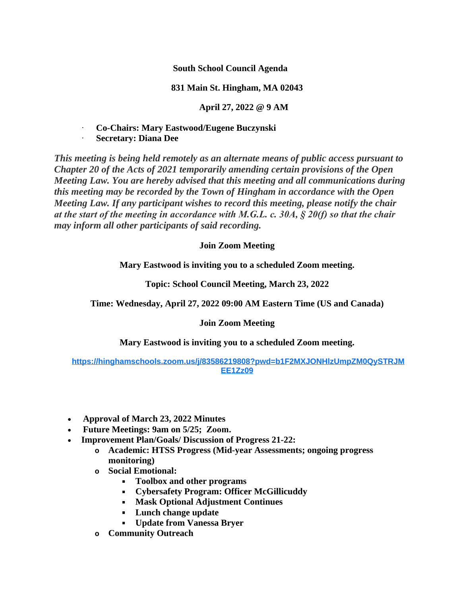**South School Council Agenda**

## **831 Main St. Hingham, MA 02043**

**April 27, 2022 @ 9 AM**

· **Co-Chairs: Mary Eastwood/Eugene Buczynski**

· **Secretary: Diana Dee**

*This meeting is being held remotely as an alternate means of public access pursuant to Chapter 20 of the Acts of 2021 temporarily amending certain provisions of the Open Meeting Law. You are hereby advised that this meeting and all communications during this meeting may be recorded by the Town of Hingham in accordance with the Open Meeting Law. If any participant wishes to record this meeting, please notify the chair at the start of the meeting in accordance with M.G.L. c. 30A, § 20(f) so that the chair may inform all other participants of said recording.*

## **Join Zoom Meeting**

**Mary Eastwood is inviting you to a scheduled Zoom meeting.**

**Topic: School Council Meeting, March 23, 2022**

**Time: Wednesday, April 27, 2022 09:00 AM Eastern Time (US and Canada)**

## **Join Zoom Meeting**

**Mary Eastwood is inviting you to a scheduled Zoom meeting.**

## **[https://hinghamschools.zoom.us/j/83586219808?pwd=b1F2MXJONHlzUmpZM0QySTRJM](https://hinghamschools.zoom.us/j/83586219808?pwd=b1F2MXJONHlzUmpZM0QySTRJMEE1Zz09) EE1Zz09**

- **Approval of March 23, 2022 Minutes**
- **Future Meetings: 9am on 5/25; Zoom.**
- **Improvement Plan/Goals/ Discussion of Progress 21-22:**
	- **o Academic: HTSS Progress (Mid-year Assessments; ongoing progress monitoring)**
	- **o Social Emotional:**
		- **Toolbox and other programs**
		- **Cybersafety Program: Officer McGillicuddy**
		- **Mask Optional Adjustment Continues**
		- **Lunch change update**
		- **Update from Vanessa Bryer**
	- **o Community Outreach**